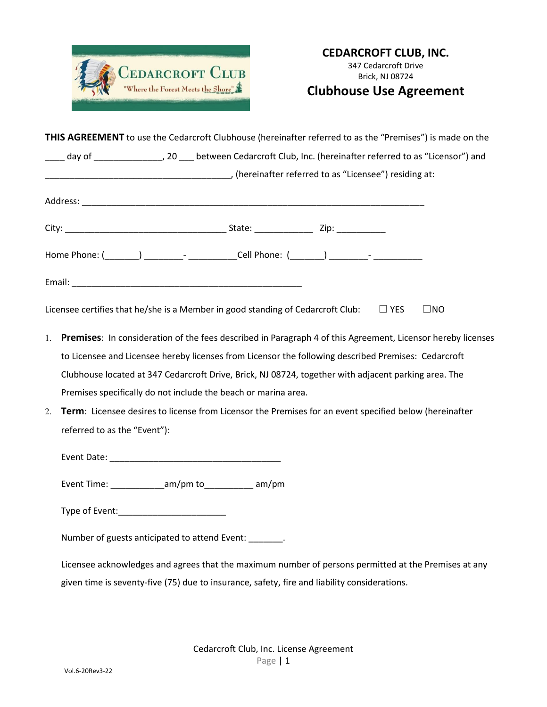

## **Clubhouse Use Agreement**

|    | THIS AGREEMENT to use the Cedarcroft Clubhouse (hereinafter referred to as the "Premises") is made on the        |  |  |  |  |
|----|------------------------------------------------------------------------------------------------------------------|--|--|--|--|
|    | day of ______________________, 20 ____ between Cedarcroft Club, Inc. (hereinafter referred to as "Licensor") and |  |  |  |  |
|    | (hereinafter referred to as "Licensee") residing at:                                                             |  |  |  |  |
|    |                                                                                                                  |  |  |  |  |
|    |                                                                                                                  |  |  |  |  |
|    |                                                                                                                  |  |  |  |  |
|    | Home Phone: (_______) _________- ____________Cell Phone: (_______) _________- _______________                    |  |  |  |  |
|    |                                                                                                                  |  |  |  |  |
|    | Licensee certifies that he/she is a Member in good standing of Cedarcroft Club: $\square$ YES<br>$\square$ NO    |  |  |  |  |
|    | 1. Premises: In consideration of the fees described in Paragraph 4 of this Agreement, Licensor hereby licenses   |  |  |  |  |
|    | to Licensee and Licensee hereby licenses from Licensor the following described Premises: Cedarcroft              |  |  |  |  |
|    | Clubhouse located at 347 Cedarcroft Drive, Brick, NJ 08724, together with adjacent parking area. The             |  |  |  |  |
|    | Premises specifically do not include the beach or marina area.                                                   |  |  |  |  |
| 2. | Term: Licensee desires to license from Licensor the Premises for an event specified below (hereinafter           |  |  |  |  |
|    | referred to as the "Event"):                                                                                     |  |  |  |  |
|    |                                                                                                                  |  |  |  |  |
|    | Event Time: ______________am/pm to_____________ am/pm                                                            |  |  |  |  |
|    |                                                                                                                  |  |  |  |  |
|    | Number of guests anticipated to attend Event: ______.                                                            |  |  |  |  |
|    | Licensee acknowledges and agrees that the maximum number of persons permitted at the Premises at any             |  |  |  |  |
|    | given time is seventy-five (75) due to insurance, safety, fire and liability considerations.                     |  |  |  |  |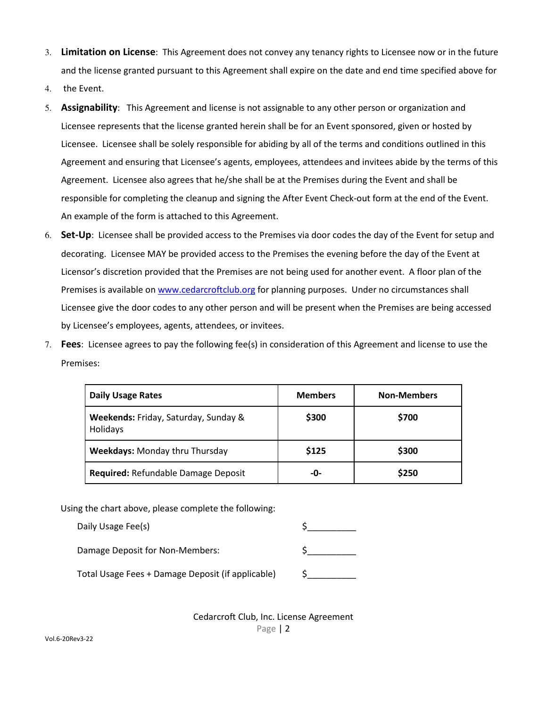- 3. **Limitation on License**: This Agreement does not convey any tenancy rights to Licensee now or in the future and the license granted pursuant to this Agreement shall expire on the date and end time specified above for
- 4. the Event.
- 5. **Assignability**: This Agreement and license is not assignable to any other person or organization and Licensee represents that the license granted herein shall be for an Event sponsored, given or hosted by Licensee. Licensee shall be solely responsible for abiding by all of the terms and conditions outlined in this Agreement and ensuring that Licensee's agents, employees, attendees and invitees abide by the terms of this Agreement. Licensee also agrees that he/she shall be at the Premises during the Event and shall be responsible for completing the cleanup and signing the After Event Check-out form at the end of the Event. An example of the form is attached to this Agreement.
- 6. **Set-Up**: Licensee shall be provided access to the Premises via door codes the day of the Event for setup and decorating. Licensee MAY be provided access to the Premises the evening before the day of the Event at Licensor's discretion provided that the Premises are not being used for another event. A floor plan of the Premises is available on www.cedarcroftclub.org for planning purposes. Under no circumstances shall Licensee give the door codes to any other person and will be present when the Premises are being accessed by Licensee's employees, agents, attendees, or invitees.
- 7. **Fees**: Licensee agrees to pay the following fee(s) in consideration of this Agreement and license to use the Premises:

| <b>Daily Usage Rates</b>                         | <b>Members</b> | <b>Non-Members</b> |
|--------------------------------------------------|----------------|--------------------|
| Weekends: Friday, Saturday, Sunday &<br>Holidays | \$300          | \$700              |
| <b>Weekdays: Monday thru Thursday</b>            | \$125          | \$300              |
| Required: Refundable Damage Deposit              | -0-            | \$250              |

Using the chart above, please complete the following:

| Daily Usage Fee(s)                                |  |
|---------------------------------------------------|--|
| Damage Deposit for Non-Members:                   |  |
| Total Usage Fees + Damage Deposit (if applicable) |  |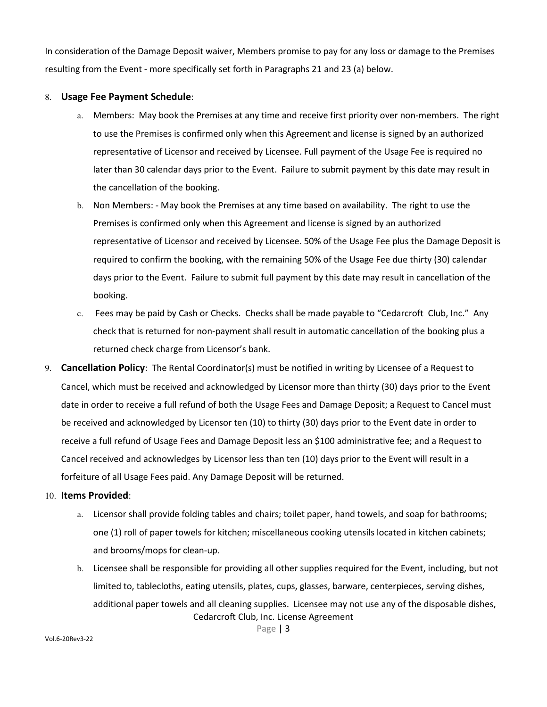In consideration of the Damage Deposit waiver, Members promise to pay for any loss or damage to the Premises resulting from the Event - more specifically set forth in Paragraphs 21 and 23 (a) below.

### 8. **Usage Fee Payment Schedule**:

- a. Members: May book the Premises at any time and receive first priority over non-members. The right to use the Premises is confirmed only when this Agreement and license is signed by an authorized representative of Licensor and received by Licensee. Full payment of the Usage Fee is required no later than 30 calendar days prior to the Event. Failure to submit payment by this date may result in the cancellation of the booking.
- b. Non Members: May book the Premises at any time based on availability. The right to use the Premises is confirmed only when this Agreement and license is signed by an authorized representative of Licensor and received by Licensee. 50% of the Usage Fee plus the Damage Deposit is required to confirm the booking, with the remaining 50% of the Usage Fee due thirty (30) calendar days prior to the Event. Failure to submit full payment by this date may result in cancellation of the booking.
- c. Fees may be paid by Cash or Checks. Checks shall be made payable to "Cedarcroft Club, Inc." Any check that is returned for non-payment shall result in automatic cancellation of the booking plus a returned check charge from Licensor's bank.
- 9. **Cancellation Policy**: The Rental Coordinator(s) must be notified in writing by Licensee of a Request to Cancel, which must be received and acknowledged by Licensor more than thirty (30) days prior to the Event date in order to receive a full refund of both the Usage Fees and Damage Deposit; a Request to Cancel must be received and acknowledged by Licensor ten (10) to thirty (30) days prior to the Event date in order to receive a full refund of Usage Fees and Damage Deposit less an \$100 administrative fee; and a Request to Cancel received and acknowledges by Licensor less than ten (10) days prior to the Event will result in a forfeiture of all Usage Fees paid. Any Damage Deposit will be returned.

### 10. **Items Provided**:

- a. Licensor shall provide folding tables and chairs; toilet paper, hand towels, and soap for bathrooms; one (1) roll of paper towels for kitchen; miscellaneous cooking utensils located in kitchen cabinets; and brooms/mops for clean-up.
- Cedarcroft Club, Inc. License Agreement b. Licensee shall be responsible for providing all other supplies required for the Event, including, but not limited to, tablecloths, eating utensils, plates, cups, glasses, barware, centerpieces, serving dishes, additional paper towels and all cleaning supplies. Licensee may not use any of the disposable dishes,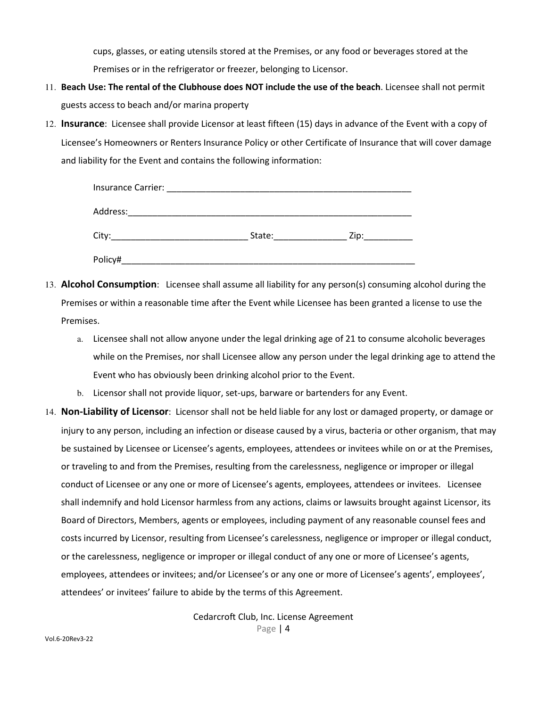cups, glasses, or eating utensils stored at the Premises, or any food or beverages stored at the Premises or in the refrigerator or freezer, belonging to Licensor.

- 11. **Beach Use: The rental of the Clubhouse does NOT include the use of the beach**. Licensee shall not permit guests access to beach and/or marina property
- 12. **Insurance**: Licensee shall provide Licensor at least fifteen (15) days in advance of the Event with a copy of Licensee's Homeowners or Renters Insurance Policy or other Certificate of Insurance that will cover damage and liability for the Event and contains the following information:

| Address: |        |      |  |  |
|----------|--------|------|--|--|
| City:    | State: | Zip: |  |  |
| Policy#  |        |      |  |  |

- 13. **Alcohol Consumption**: Licensee shall assume all liability for any person(s) consuming alcohol during the Premises or within a reasonable time after the Event while Licensee has been granted a license to use the Premises.
	- a. Licensee shall not allow anyone under the legal drinking age of 21 to consume alcoholic beverages while on the Premises, nor shall Licensee allow any person under the legal drinking age to attend the Event who has obviously been drinking alcohol prior to the Event.
	- b. Licensor shall not provide liquor, set-ups, barware or bartenders for any Event.
- 14. **Non-Liability of Licensor**: Licensor shall not be held liable for any lost or damaged property, or damage or injury to any person, including an infection or disease caused by a virus, bacteria or other organism, that may be sustained by Licensee or Licensee's agents, employees, attendees or invitees while on or at the Premises, or traveling to and from the Premises, resulting from the carelessness, negligence or improper or illegal conduct of Licensee or any one or more of Licensee's agents, employees, attendees or invitees. Licensee shall indemnify and hold Licensor harmless from any actions, claims or lawsuits brought against Licensor, its Board of Directors, Members, agents or employees, including payment of any reasonable counsel fees and costs incurred by Licensor, resulting from Licensee's carelessness, negligence or improper or illegal conduct, or the carelessness, negligence or improper or illegal conduct of any one or more of Licensee's agents, employees, attendees or invitees; and/or Licensee's or any one or more of Licensee's agents', employees', attendees' or invitees' failure to abide by the terms of this Agreement.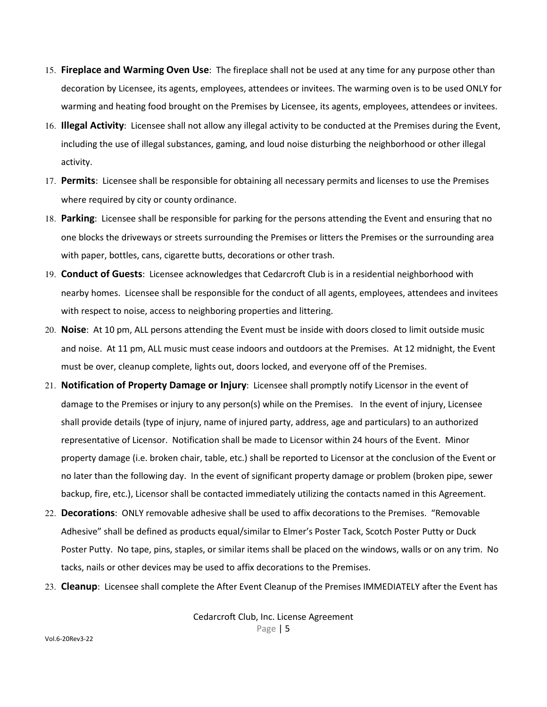- 15. **Fireplace and Warming Oven Use**: The fireplace shall not be used at any time for any purpose other than decoration by Licensee, its agents, employees, attendees or invitees. The warming oven is to be used ONLY for warming and heating food brought on the Premises by Licensee, its agents, employees, attendees or invitees.
- 16. **Illegal Activity**: Licensee shall not allow any illegal activity to be conducted at the Premises during the Event, including the use of illegal substances, gaming, and loud noise disturbing the neighborhood or other illegal activity.
- 17. **Permits**: Licensee shall be responsible for obtaining all necessary permits and licenses to use the Premises where required by city or county ordinance.
- 18. **Parking**: Licensee shall be responsible for parking for the persons attending the Event and ensuring that no one blocks the driveways or streets surrounding the Premises or litters the Premises or the surrounding area with paper, bottles, cans, cigarette butts, decorations or other trash.
- 19. **Conduct of Guests**: Licensee acknowledges that Cedarcroft Club is in a residential neighborhood with nearby homes. Licensee shall be responsible for the conduct of all agents, employees, attendees and invitees with respect to noise, access to neighboring properties and littering.
- 20. **Noise**: At 10 pm, ALL persons attending the Event must be inside with doors closed to limit outside music and noise. At 11 pm, ALL music must cease indoors and outdoors at the Premises. At 12 midnight, the Event must be over, cleanup complete, lights out, doors locked, and everyone off of the Premises.
- 21. **Notification of Property Damage or Injury**: Licensee shall promptly notify Licensor in the event of damage to the Premises or injury to any person(s) while on the Premises. In the event of injury, Licensee shall provide details (type of injury, name of injured party, address, age and particulars) to an authorized representative of Licensor. Notification shall be made to Licensor within 24 hours of the Event. Minor property damage (i.e. broken chair, table, etc.) shall be reported to Licensor at the conclusion of the Event or no later than the following day. In the event of significant property damage or problem (broken pipe, sewer backup, fire, etc.), Licensor shall be contacted immediately utilizing the contacts named in this Agreement.
- 22. **Decorations**: ONLY removable adhesive shall be used to affix decorations to the Premises. "Removable Adhesive" shall be defined as products equal/similar to Elmer's Poster Tack, Scotch Poster Putty or Duck Poster Putty. No tape, pins, staples, or similar items shall be placed on the windows, walls or on any trim. No tacks, nails or other devices may be used to affix decorations to the Premises.
- 23. **Cleanup**: Licensee shall complete the After Event Cleanup of the Premises IMMEDIATELY after the Event has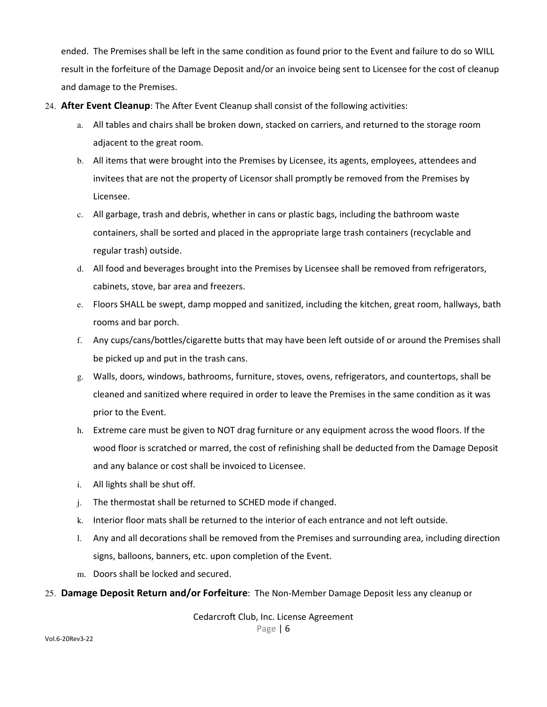ended. The Premises shall be left in the same condition as found prior to the Event and failure to do so WILL result in the forfeiture of the Damage Deposit and/or an invoice being sent to Licensee for the cost of cleanup and damage to the Premises.

- 24. **After Event Cleanup**: The After Event Cleanup shall consist of the following activities:
	- a. All tables and chairs shall be broken down, stacked on carriers, and returned to the storage room adjacent to the great room.
	- b. All items that were brought into the Premises by Licensee, its agents, employees, attendees and invitees that are not the property of Licensor shall promptly be removed from the Premises by Licensee.
	- c. All garbage, trash and debris, whether in cans or plastic bags, including the bathroom waste containers, shall be sorted and placed in the appropriate large trash containers (recyclable and regular trash) outside.
	- d. All food and beverages brought into the Premises by Licensee shall be removed from refrigerators, cabinets, stove, bar area and freezers.
	- e. Floors SHALL be swept, damp mopped and sanitized, including the kitchen, great room, hallways, bath rooms and bar porch.
	- f. Any cups/cans/bottles/cigarette butts that may have been left outside of or around the Premises shall be picked up and put in the trash cans.
	- g. Walls, doors, windows, bathrooms, furniture, stoves, ovens, refrigerators, and countertops, shall be cleaned and sanitized where required in order to leave the Premises in the same condition as it was prior to the Event.
	- h. Extreme care must be given to NOT drag furniture or any equipment across the wood floors. If the wood floor is scratched or marred, the cost of refinishing shall be deducted from the Damage Deposit and any balance or cost shall be invoiced to Licensee.
	- i. All lights shall be shut off.
	- j. The thermostat shall be returned to SCHED mode if changed.
	- k. Interior floor mats shall be returned to the interior of each entrance and not left outside.
	- l. Any and all decorations shall be removed from the Premises and surrounding area, including direction signs, balloons, banners, etc. upon completion of the Event.
	- m. Doors shall be locked and secured.

### 25. **Damage Deposit Return and/or Forfeiture**: The Non-Member Damage Deposit less any cleanup or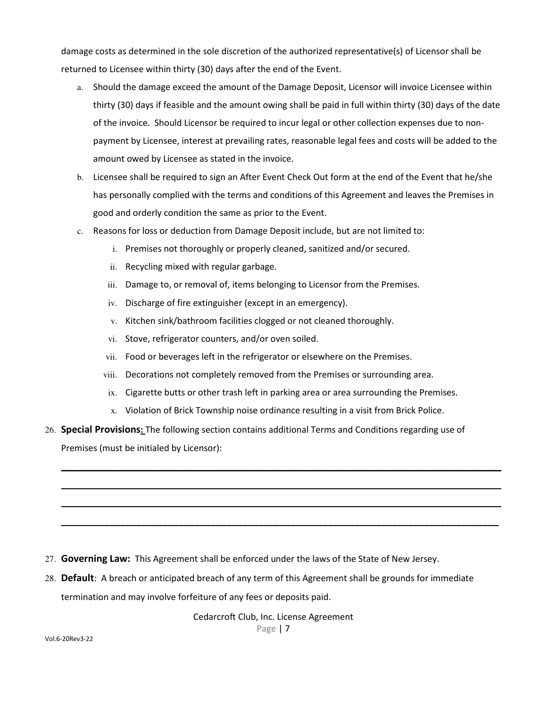damage costs as determined in the sole discretion of the authorized representative(s) of Licensor shall be returned to Licensee within thirty (30) days after the end of the Event.

- a. Should the damage exceed the amount of the Damage Deposit, Licensor will invoice Licensee within thirty (30) days if feasible and the amount owing shall be paid in full within thirty (30) days of the date of the invoice. Should Licensor be required to incur legal or other collection expenses due to nonpayment by Licensee, interest at prevailing rates, reasonable legal fees and costs will be added to the amount owed by Licensee as stated in the invoice.
- b. Licensee shall be required to sign an After Event Check Out form at the end of the Event that he/she has personally complied with the terms and conditions of this Agreement and leaves the Premises in good and orderly condition the same as prior to the Event.
- c. Reasons for loss or deduction from Damage Deposit include, but are not limited to:
	- i. Premises not thoroughly or properly cleaned, sanitized and/or secured.
	- ii. Recycling mixed with regular garbage.
	- iii. Damage to, or removal of, items belonging to Licensor from the Premises.
	- iv. Discharge of fire extinguisher (except in an emergency).
	- v. Kitchen sink/bathroom facilities clogged or not cleaned thoroughly.
	- vi. Stove, refrigerator counters, and/or oven soiled.
	- vii. Food or beverages left in the refrigerator or elsewhere on the Premises.
	- viii. Decorations not completely removed from the Premises or surrounding area.
	- ix. Cigarette butts or other trash left in parking area or area surrounding the Premises.
	- x. Violation of Brick Township noise ordinance resulting in a visit from Brick Police.

\_\_\_\_\_\_\_\_\_\_\_\_\_\_\_\_\_\_\_\_\_\_\_\_\_\_\_\_\_\_\_\_\_\_\_\_\_\_\_\_\_\_\_\_\_\_\_\_\_\_\_\_\_\_\_\_\_\_\_\_\_\_\_\_\_\_\_\_\_\_\_\_\_\_\_\_\_\_\_\_\_\_\_\_\_\_\_\_\_\_

 $\mathcal{L}_\mathcal{L} = \mathcal{L}_\mathcal{L} = \mathcal{L}_\mathcal{L} = \mathcal{L}_\mathcal{L} = \mathcal{L}_\mathcal{L} = \mathcal{L}_\mathcal{L} = \mathcal{L}_\mathcal{L} = \mathcal{L}_\mathcal{L} = \mathcal{L}_\mathcal{L} = \mathcal{L}_\mathcal{L} = \mathcal{L}_\mathcal{L} = \mathcal{L}_\mathcal{L} = \mathcal{L}_\mathcal{L} = \mathcal{L}_\mathcal{L} = \mathcal{L}_\mathcal{L} = \mathcal{L}_\mathcal{L} = \mathcal{L}_\mathcal{L}$ 

 $\_$  ,  $\_$  ,  $\_$  ,  $\_$  ,  $\_$  ,  $\_$  ,  $\_$  ,  $\_$  ,  $\_$  ,  $\_$  ,  $\_$  ,  $\_$  ,  $\_$  ,  $\_$  ,  $\_$  ,  $\_$  ,  $\_$  ,  $\_$  ,  $\_$  ,  $\_$  ,  $\_$  ,  $\_$  ,  $\_$  ,  $\_$  ,  $\_$  ,  $\_$  ,  $\_$  ,  $\_$  ,  $\_$  ,  $\_$  ,  $\_$  ,  $\_$  ,  $\_$  ,  $\_$  ,  $\_$  ,  $\_$  ,  $\_$  ,

**\_\_\_\_\_\_\_\_\_\_\_\_\_\_\_\_\_\_\_\_\_\_\_\_\_\_\_\_\_\_\_\_\_\_\_\_\_\_\_\_\_\_\_\_\_\_\_\_\_\_\_\_\_\_\_\_\_\_\_\_\_\_\_\_\_\_\_\_\_\_\_\_\_\_\_\_\_\_\_\_\_\_** 

26. **Special Provisions:** The following section contains additional Terms and Conditions regarding use of Premises (must be initialed by Licensor):

- 27. **Governing Law:** This Agreement shall be enforced under the laws of the State of New Jersey.
- 28. **Default**: A breach or anticipated breach of any term of this Agreement shall be grounds for immediate termination and may involve forfeiture of any fees or deposits paid.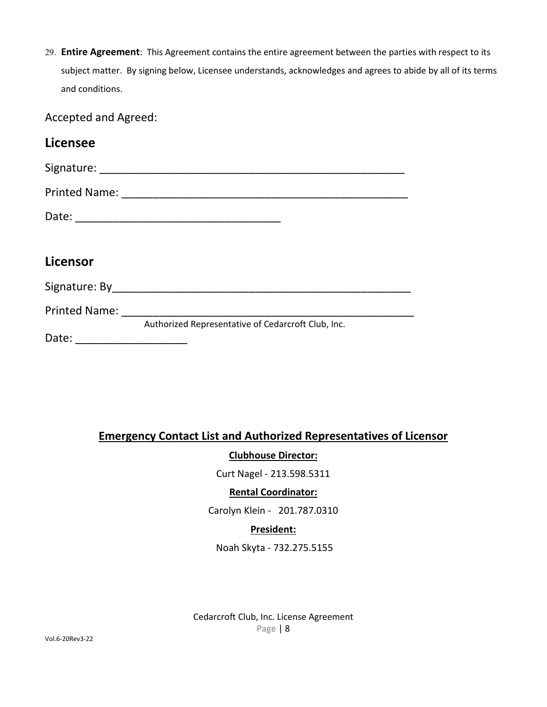29. **Entire Agreement**: This Agreement contains the entire agreement between the parties with respect to its subject matter. By signing below, Licensee understands, acknowledges and agrees to abide by all of its terms and conditions.

Accepted and Agreed:

| <b>Licensee</b>                                                      |                                                    |  |  |  |  |
|----------------------------------------------------------------------|----------------------------------------------------|--|--|--|--|
|                                                                      |                                                    |  |  |  |  |
|                                                                      |                                                    |  |  |  |  |
|                                                                      |                                                    |  |  |  |  |
|                                                                      |                                                    |  |  |  |  |
| Licensor                                                             |                                                    |  |  |  |  |
|                                                                      |                                                    |  |  |  |  |
|                                                                      | Printed Name: <u>___________________________</u>   |  |  |  |  |
| Date:<br><u> 1999 - Jan James James Barbara, president politik (</u> | Authorized Representative of Cedarcroft Club, Inc. |  |  |  |  |

## **Emergency Contact List and Authorized Representatives of Licensor**

**Clubhouse Director:** 

Curt Nagel - 213.598.5311

## **Rental Coordinator:**

Carolyn Klein - 201.787.0310

## **President:**

Noah Skyta - 732.275.5155